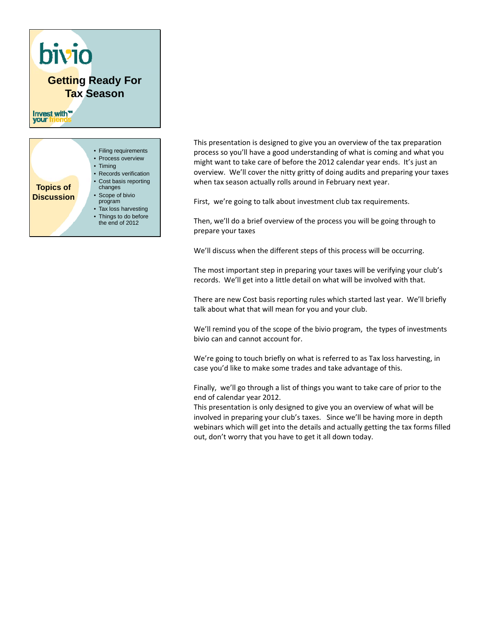

This presentation is designed to give you an overview of the tax preparation process so you'll have a good understanding of what is coming and what you might want to take care of before the 2012 calendar year ends. It's just an overview. We'll cover the nitty gritty of doing audits and preparing your taxes when tax season actually rolls around in February next year.

First, we're going to talk about investment club tax requirements.

Then, we'll do a brief overview of the process you will be going through to prepare your taxes

We'll discuss when the different steps of this process will be occurring.

The most important step in preparing your taxes will be verifying your club's records. We'll get into a little detail on what will be involved with that.

There are new Cost basis reporting rules which started last year. We'll briefly talk about what that will mean for you and your club.

We'll remind you of the scope of the bivio program, the types of investments bivio can and cannot account for.

We're going to touch briefly on what is referred to as Tax loss harvesting, in case you'd like to make some trades and take advantage of this.

Finally, we'll go through a list of things you want to take care of prior to the end of calendar year 2012.

This presentation is only designed to give you an overview of what will be involved in preparing your club's taxes. Since we'll be having more in depth webinars which will get into the details and actually getting the tax forms filled out, don't worry that you have to get it all down today.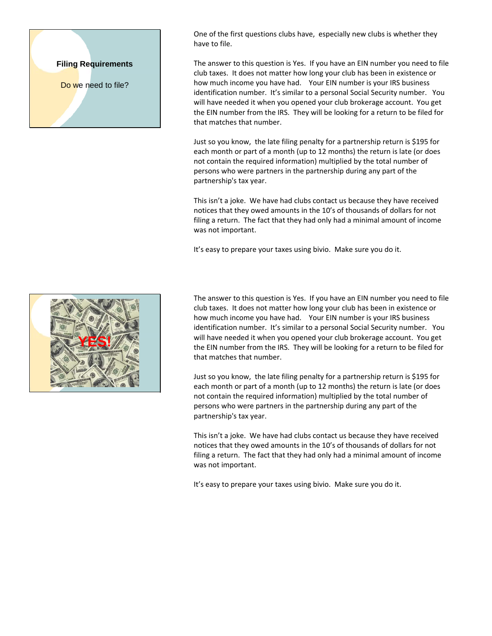## **Filing Requirements**

Do we need to file?

One of the first questions clubs have, especially new clubs is whether they have to file.

The answer to this question is Yes. If you have an EIN number you need to file club taxes. It does not matter how long your club has been in existence or how much income you have had. Your EIN number is your IRS business identification number. It's similar to a personal Social Security number. You will have needed it when you opened your club brokerage account. You get the EIN number from the IRS. They will be looking for a return to be filed for that matches that number.

Just so you know, the late filing penalty for a partnership return is \$195 for each month or part of a month (up to 12 months) the return is late (or does not contain the required information) multiplied by the total number of persons who were partners in the partnership during any part of the partnership's tax year.

This isn't a joke. We have had clubs contact us because they have received notices that they owed amounts in the 10's of thousands of dollars for not filing a return. The fact that they had only had a minimal amount of income was not important.

It's easy to prepare your taxes using bivio. Make sure you do it.

The answer to this question is Yes. If you have an EIN number you need to file club taxes. It does not matter how long your club has been in existence or how much income you have had. Your EIN number is your IRS business identification number. It's similar to a personal Social Security number. You will have needed it when you opened your club brokerage account. You get the EIN number from the IRS. They will be looking for a return to be filed for that matches that number.

Just so you know, the late filing penalty for a partnership return is \$195 for each month or part of a month (up to 12 months) the return is late (or does not contain the required information) multiplied by the total number of persons who were partners in the partnership during any part of the partnership's tax year.

This isn't a joke. We have had clubs contact us because they have received notices that they owed amounts in the 10's of thousands of dollars for not filing a return. The fact that they had only had a minimal amount of income was not important.

It's easy to prepare your taxes using bivio. Make sure you do it.

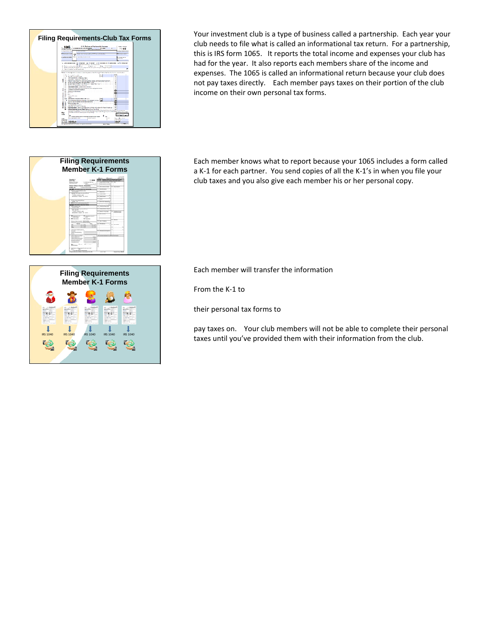



Your investment club is a type of business called a partnership. Each year your club needs to file what is called an informational tax return. For a partnership, this is IRS form 1065. It reports the total income and expenses your club has had for the year. It also reports each members share of the income and expenses. The 1065 is called an informational return because your club does not pay taxes directly. Each member pays taxes on their portion of the club income on their own personal tax forms.

Each member knows what to report because your 1065 includes a form called a K‐1 for each partner. You send copies of all the K‐1's in when you file your club taxes and you also give each member his or her personal copy.



Each member will transfer the information

From the K‐1 to

their personal tax forms to

pay taxes on. Your club members will not be able to complete their personal taxes until you've provided them with their information from the club.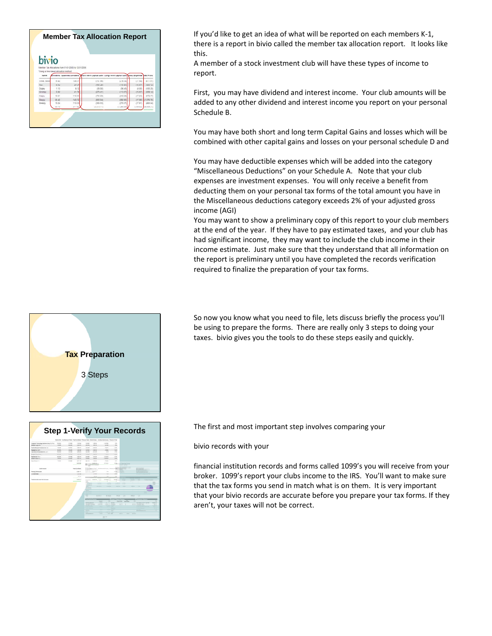

**Member Tax Allocation Report** If you'd like to get an idea of what will be reported on each members K-1, there is a report in bivio called the member tax allocation report. It looks like this.

> A member of a stock investment club will have these types of income to report.

First, you may have dividend and interest income. Your club amounts will be added to any other dividend and interest income you report on your personal Schedule B.

You may have both short and long term Capital Gains and losses which will be combined with other capital gains and losses on your personal schedule D and

You may have deductible expenses which will be added into the category "Miscellaneous Deductions" on your Schedule A. Note that your club expenses are investment expenses. You will only receive a benefit from deducting them on your personal tax forms of the total amount you have in the Miscellaneous deductions category exceeds 2% of your adjusted gross income (AGI)

You may want to show a preliminary copy of this report to your club members at the end of the year. If they have to pay estimated taxes, and your club has had significant income, they may want to include the club income in their income estimate. Just make sure that they understand that all information on the report is preliminary until you have completed the records verification required to finalize the preparation of your tax forms.

**Tax Preparation** 3 Steps



So now you know what you need to file, lets discuss briefly the process you'll be using to prepare the forms. There are really only 3 steps to doing your taxes. bivio gives you the tools to do these steps easily and quickly.

**Step 1-Verify Your Records** The first and most important step involves comparing your

bivio records with your

financial institution records and forms called 1099's you will receive from your broker. 1099's report your clubs income to the IRS. You'll want to make sure that the tax forms you send in match what is on them. It is very important that your bivio records are accurate before you prepare your tax forms. If they aren't, your taxes will not be correct.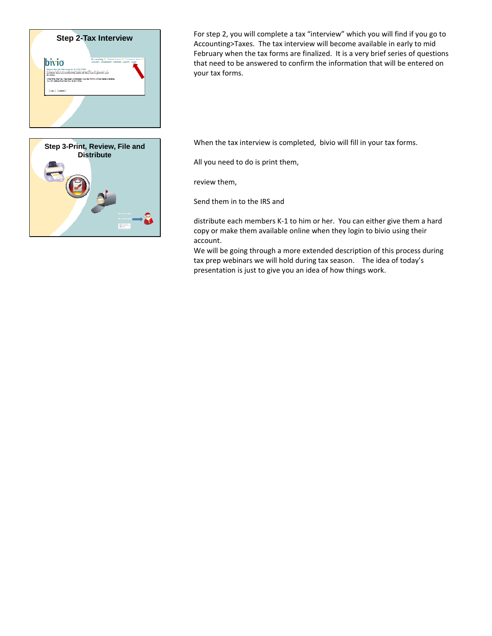

**Step 2-Tax Interview For step 2, you will complete a tax "interview" which you will find if you go to** Accounting>Taxes. The tax interview will become available in early to mid February when the tax forms are finalized. It is a very brief series of questions that need to be answered to confirm the information that will be entered on your tax forms.



When the tax interview is completed, bivio will fill in your tax forms.

All you need to do is print them,

review them,

Send them in to the IRS and

distribute each members K‐1 to him or her. You can either give them a hard copy or make them available online when they login to bivio using their account.

We will be going through a more extended description of this process during tax prep webinars we will hold during tax season. The idea of today's presentation is just to give you an idea of how things work.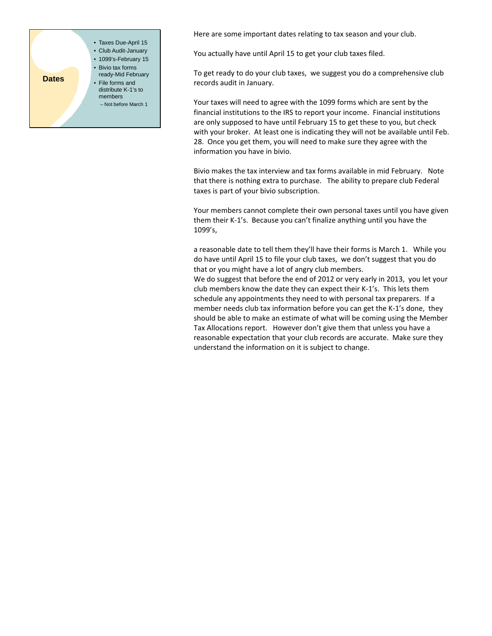

Here are some important dates relating to tax season and your club.

You actually have until April 15 to get your club taxes filed.

To get ready to do your club taxes, we suggest you do a comprehensive club records audit in January.

Your taxes will need to agree with the 1099 forms which are sent by the financial institutions to the IRS to report your income. Financial institutions are only supposed to have until February 15 to get these to you, but check with your broker. At least one is indicating they will not be available until Feb. 28. Once you get them, you will need to make sure they agree with the information you have in bivio.

Bivio makes the tax interview and tax forms available in mid February. Note that there is nothing extra to purchase. The ability to prepare club Federal taxes is part of your bivio subscription.

Your members cannot complete their own personal taxes until you have given them their K‐1's. Because you can't finalize anything until you have the 1099's,

a reasonable date to tell them they'll have their forms is March 1. While you do have until April 15 to file your club taxes, we don't suggest that you do that or you might have a lot of angry club members.

We do suggest that before the end of 2012 or very early in 2013, you let your club members know the date they can expect their K‐1's. This lets them schedule any appointments they need to with personal tax preparers. If a member needs club tax information before you can get the K-1's done, they should be able to make an estimate of what will be coming using the Member Tax Allocations report. However don't give them that unless you have a reasonable expectation that your club records are accurate. Make sure they understand the information on it is subject to change.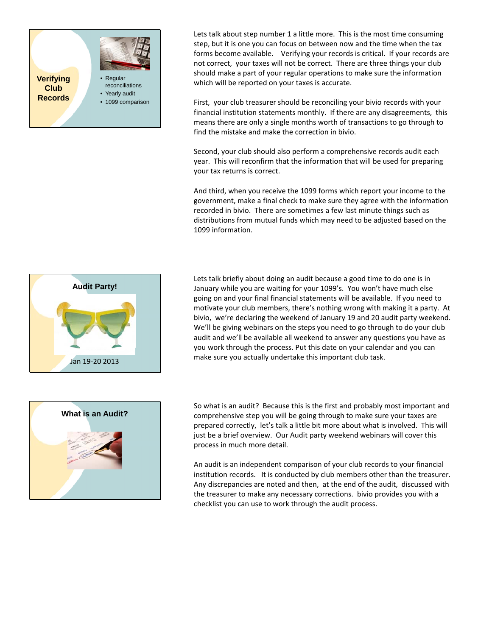

Lets talk about step number 1 a little more. This is the most time consuming step, but it is one you can focus on between now and the time when the tax forms become available. Verifying your records is critical. If your records are not correct, your taxes will not be correct. There are three things your club should make a part of your regular operations to make sure the information which will be reported on your taxes is accurate.

First, your club treasurer should be reconciling your bivio records with your financial institution statements monthly. If there are any disagreements, this means there are only a single months worth of transactions to go through to find the mistake and make the correction in bivio.

Second, your club should also perform a comprehensive records audit each year. This will reconfirm that the information that will be used for preparing your tax returns is correct.

And third, when you receive the 1099 forms which report your income to the government, make a final check to make sure they agree with the information recorded in bivio. There are sometimes a few last minute things such as distributions from mutual funds which may need to be adjusted based on the 1099 information.



Lets talk briefly about doing an audit because a good time to do one is in January while you are waiting for your 1099's. You won't have much else going on and your final financial statements will be available. If you need to motivate your club members, there's nothing wrong with making it a party. At bivio, we're declaring the weekend of January 19 and 20 audit party weekend. We'll be giving webinars on the steps you need to go through to do your club audit and we'll be available all weekend to answer any questions you have as you work through the process. Put this date on your calendar and you can make sure you actually undertake this important club task.



So what is an audit? Because this is the first and probably most important and comprehensive step you will be going through to make sure your taxes are prepared correctly, let's talk a little bit more about what is involved. This will just be a brief overview. Our Audit party weekend webinars will cover this process in much more detail.

An audit is an independent comparison of your club records to your financial institution records. It is conducted by club members other than the treasurer. Any discrepancies are noted and then, at the end of the audit, discussed with the treasurer to make any necessary corrections. bivio provides you with a checklist you can use to work through the audit process.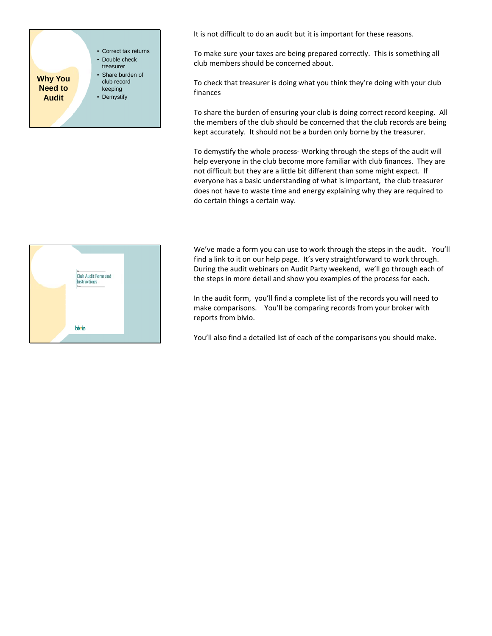

It is not difficult to do an audit but it is important for these reasons.

To make sure your taxes are being prepared correctly. This is something all club members should be concerned about.

To check that treasurer is doing what you think they're doing with your club finances

To share the burden of ensuring your club is doing correct record keeping. All the members of the club should be concerned that the club records are being kept accurately. It should not be a burden only borne by the treasurer.

To demystify the whole process‐ Working through the steps of the audit will help everyone in the club become more familiar with club finances. They are not difficult but they are a little bit different than some might expect. If everyone has a basic understanding of what is important, the club treasurer does not have to waste time and energy explaining why they are required to do certain things a certain way.



We've made a form you can use to work through the steps in the audit. You'll find a link to it on our help page. It's very straightforward to work through. During the audit webinars on Audit Party weekend, we'll go through each of the steps in more detail and show you examples of the process for each.

In the audit form, you'll find a complete list of the records you will need to make comparisons. You'll be comparing records from your broker with reports from bivio.

You'll also find a detailed list of each of the comparisons you should make.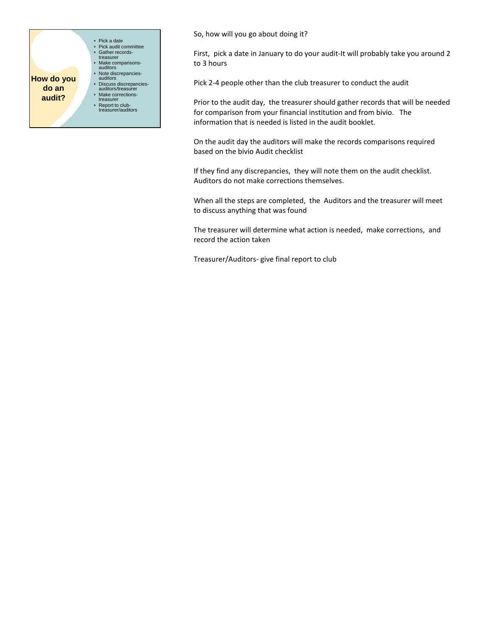

So, how will you go about doing it?

First, pick a date in January to do your audit-It will probably take you around 2 to 3 hours

Pick 2‐4 people other than the club treasurer to conduct the audit

Prior to the audit day, the treasurer should gather records that will be needed for comparison from your financial institution and from bivio. The information that is needed is listed in the audit booklet.

On the audit day the auditors will make the records comparisons required based on the bivio Audit checklist

If they find any discrepancies, they will note them on the audit checklist. Auditors do not make corrections themselves.

When all the steps are completed, the Auditors and the treasurer will meet to discuss anything that was found

The treasurer will determine what action is needed, make corrections, and record the action taken

Treasurer/Auditors‐ give final report to club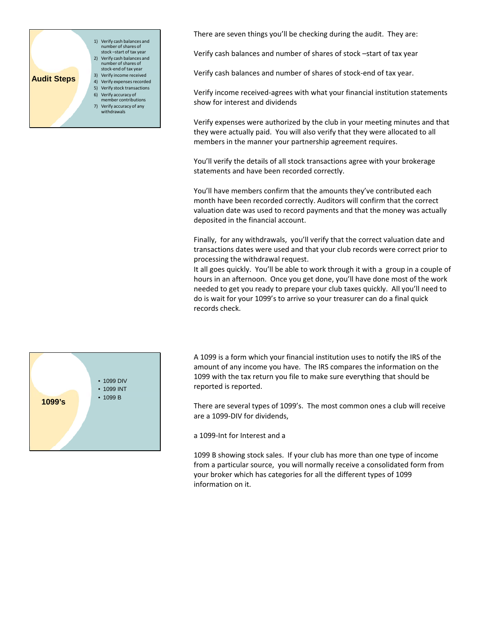

There are seven things you'll be checking during the audit. They are:

Verify cash balances and number of shares of stock –start of tax year

Verify cash balances and number of shares of stock‐end of tax year.

Verify income received‐agrees with what your financial institution statements show for interest and dividends

Verify expenses were authorized by the club in your meeting minutes and that they were actually paid. You will also verify that they were allocated to all members in the manner your partnership agreement requires.

You'll verify the details of all stock transactions agree with your brokerage statements and have been recorded correctly.

You'll have members confirm that the amounts they've contributed each month have been recorded correctly. Auditors will confirm that the correct valuation date was used to record payments and that the money was actually deposited in the financial account.

Finally, for any withdrawals, you'll verify that the correct valuation date and transactions dates were used and that your club records were correct prior to processing the withdrawal request.

It all goes quickly. You'll be able to work through it with a group in a couple of hours in an afternoon. Once you get done, you'll have done most of the work needed to get you ready to prepare your club taxes quickly. All you'll need to do is wait for your 1099's to arrive so your treasurer can do a final quick records check.



A 1099 is a form which your financial institution uses to notify the IRS of the amount of any income you have. The IRS compares the information on the 1099 with the tax return you file to make sure everything that should be reported is reported.

There are several types of 1099's. The most common ones a club will receive are a 1099‐DIV for dividends,

a 1099‐Int for Interest and a

1099 B showing stock sales. If your club has more than one type of income from a particular source, you will normally receive a consolidated form from your broker which has categories for all the different types of 1099 information on it.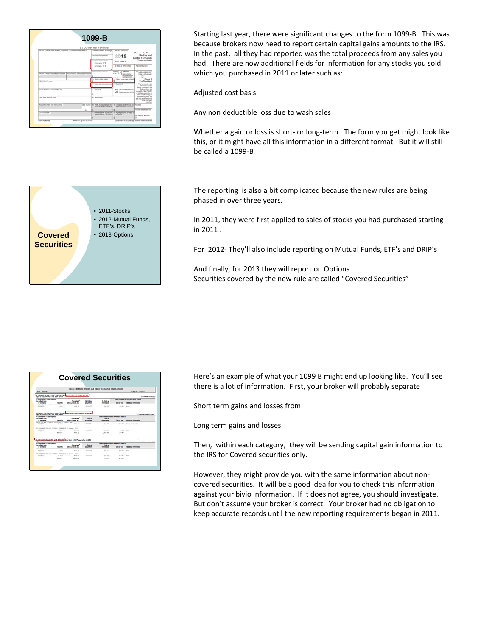|                                                                           |             | 1099-B                                                                                                                         |                                                                                                             |                                                                                     |  |
|---------------------------------------------------------------------------|-------------|--------------------------------------------------------------------------------------------------------------------------------|-------------------------------------------------------------------------------------------------------------|-------------------------------------------------------------------------------------|--|
|                                                                           |             | CORRECTED (# checked)                                                                                                          |                                                                                                             |                                                                                     |  |
| FAYER'S hame, street address, city, state, ZIP code, and belieftone no.   |             | to Date of sale or exchange.                                                                                                   | OMEND TOOLS !!!                                                                                             | <b>Proceeds From</b>                                                                |  |
|                                                                           |             | 19 Calls of angulation                                                                                                         | 2012                                                                                                        | Broker and<br><b>Barter Exchange</b>                                                |  |
|                                                                           |             | Low of part or com-<br><b>Short-term</b><br>Ð                                                                                  | Form 1006- B                                                                                                | Transactions                                                                        |  |
|                                                                           |             | л<br>Long-term                                                                                                                 | Ni Stock or other symbol                                                                                    | te Quantity wod                                                                     |  |
| PAYER'S School startification turning.   ISC PAINTS startification oursel |             | de litterature betriefer after                                                                                                 | Solar credit<br>Total C<br>to the<br>Sales art is now.<br>continues and<br><b>UNIT SEARCH</b>               | <b>Zh 7 box cleaning</b> , lease<br><b>Senat US amount</b><br>in the hotel attitude |  |
| <b>RECYCLETT &amp; Farmer</b>                                             |             | Cost or other basis<br>٠                                                                                                       | A l'adora incura lui admini-                                                                                | Copy B<br>For Recipient                                                             |  |
|                                                                           |             | deputy supp both disappears                                                                                                    | 4 Checket 4                                                                                                 | This is important tax<br>internation and to                                         |  |
| blows account photographs (etc)                                           |             | 7 Belleving                                                                                                                    | all measures in Ca.                                                                                         | learns furnisheed to the<br><b><i><u>School and Spanish and </u></i></b>            |  |
|                                                                           |             | <b>BELL Learn report for FLA</b>                                                                                               | Service, 17 ans are<br><b>NEWS &amp; RAVING</b><br>a modganya penalty el<br>critical superintent stude that |                                                                                     |  |
| Dig state, and 23° com-                                                   | 4 Dearbying | Processor on only if they<br>anticipate to leakable send<br>the USI determined fruit<br>18 Hara card Inquiri<br><b>Norwalk</b> |                                                                                                             |                                                                                     |  |
|                                                                           |             | this file risk 1 & Firsth at lowes reached in<br>antist on beneat contracts.                                                   | 60 LEWIS COURT CARD FOR THE 1979.<br>Store contribution hallen them                                         | va max                                                                              |  |
| Account number take memoritans.                                           |             |                                                                                                                                |                                                                                                             |                                                                                     |  |
| CLASS making                                                              |             | 44. Lincolnia and at free on                                                                                                   | 10 Appreciate profil or (need on                                                                            | to then result above                                                                |  |

• 2011-Stocks • 2012-Mutual Funds, ETF's, DRIP's • 2013-Options

**Covered Securities** **1099-B** Starting last year, there were significant changes to the form <sup>1099</sup>‐B. This was because brokers now need to report certain capital gains amounts to the IRS. In the past, all they had reported was the total proceeds from any sales you had. There are now additional fields for information for any stocks you sold which you purchased in 2011 or later such as:

Adjusted cost basis

Any non deductible loss due to wash sales

Whether a gain or loss is short- or long-term. The form you get might look like this, or it might have all this information in a different format. But it will still be called a 1099‐B

The reporting is also a bit complicated because the new rules are being phased in over three years.

In 2011, they were first applied to sales of stocks you had purchased starting in 2011 .

For 2012‐ They'll also include reporting on Mutual Funds, ETF's and DRIP's

And finally, for 2013 they will report on Options Securities covered by the new rule are called "Covered Securities"

|                                                                                                            |                  | <b>Covered Securities</b>                                                           |                                     |                                                       |                                                                  |                                                                       |
|------------------------------------------------------------------------------------------------------------|------------------|-------------------------------------------------------------------------------------|-------------------------------------|-------------------------------------------------------|------------------------------------------------------------------|-----------------------------------------------------------------------|
|                                                                                                            |                  |                                                                                     |                                     |                                                       |                                                                  |                                                                       |
|                                                                                                            |                  |                                                                                     |                                     | Proceeds from Broker and Barter Exchange Transactions |                                                                  |                                                                       |
| 2011 1031-01                                                                                               |                  |                                                                                     |                                     |                                                       |                                                                  | OWN No. 1565-0718                                                     |
| faced in Free Diff. Fact, with Bank market                                                                 |                  | 2 - SBORT-TERM GATKS AND DOSSES Con basic is reserved to the SES                    |                                     |                                                       |                                                                  | <b>E. Tachki Charles</b>                                              |
| <b>F-Designation Culture beneat</b><br>to Cale of Law<br>or exchange                                       | <b>Supplier</b>  | 2 - Processin of<br>stures honds at:                                                | <b>IS-OWNER</b><br>soguestion       | 3-Coul-at<br>shar have                                | <b>ART AF THE</b>                                                | These courses are not reported to the PD<br><b>AMRANE MARGARET</b>    |
| attact out art. / district exclusively / disease- and<br><b>BATISTAN</b>                                   | 5.744            | <b>HALL RE</b>                                                                      | ALC: N. A. TOT                      | ---                                                   | 44.81                                                            | date.                                                                 |
| <b>L'IMPRE-TERN GADO AND LOSSES</b><br><b>F. Description Collabs Europa</b><br>to chair has<br>or exchange | <b>Guardita</b>  | Continues in NOT reported in the DES<br><b>1. Insurance</b><br>shows bonds att      | <b>Fully of</b><br><b>MODERATOR</b> | <b>Post of</b><br><b>W back</b>                       | lane columns are not reported to the Ald<br><b>Cash or lower</b> | 5 - Tex rate, recreationships<br><b><i>Idditional Information</i></b> |
| artist out art, r there, entrusted r dynamic art.                                                          | <b>DA MAK</b>    | <b>SILL AN</b>                                                                      | <b>MARINEZ</b>                      |                                                       |                                                                  |                                                                       |
| MANUFAC                                                                                                    |                  |                                                                                     |                                     | \$13,350                                              | 114, 24                                                          | Palac at I link                                                       |
| at you was two year a signal, transaction a manager, who<br><b>BECRAINS</b>                                | 4.118            | <b>DESTROY</b>                                                                      | 16.156.703                          | <b>PER 28</b>                                         | 15.00                                                            | <b>Bank</b>                                                           |
|                                                                                                            | <b>Boltz Les</b> | 4814.411                                                                            |                                     | 1.044.00                                              | $-47.84$                                                         |                                                                       |
|                                                                                                            |                  | 1. Lowell Printers a check unds it décents. Care lieute in 2007 reported as the DES |                                     |                                                       |                                                                  | <b>C-Tex role, recine continued</b>                                   |
| Lands in Fields also yier 2, with land is contact.<br><b>E-Description Culture Earning</b>                 |                  |                                                                                     |                                     |                                                       | a course an ed recorded in the A.S.                              |                                                                       |
| to chate of fixes<br>or exchange                                                                           | <b>Guardita</b>  | 2. Processing of<br>shows home air.                                                 | <b>Endin of</b><br>acquisition      | Court or<br>that have                                 | <b>Coltri or lower</b>                                           | <b>Additional Information</b>                                         |
| <b>ALIMINAT</b>                                                                                            | $1 - 141$        | decents with his delta, but the c dutch. Leasurers c demail - the<br>and an         | <b><i><u>BERNHAME</u></i></b>       | <b>MAY THE</b>                                        | the at the Company                                               |                                                                       |
| AT JUST NOT THE ATL J PERSON- TRANSMISS I FAMILY, 274-<br>asterdam and the con-                            | 11,018           | kins and                                                                            | \$5,05,050                          | Lots Inc.                                             | the at Links                                                     |                                                                       |

Here's an example of what your 1099 B might end up looking like. You'll see there is a lot of information. First, your broker will probably separate

Short term gains and losses from

Long term gains and losses

Then, within each category, they will be sending capital gain information to the IRS for Covered securities only.

However, they might provide you with the same information about non‐ covered securities. It will be a good idea for you to check this information against your bivio information. If it does not agree, you should investigate. But don't assume your broker is correct. Your broker had no obligation to keep accurate records until the new reporting requirements began in 2011.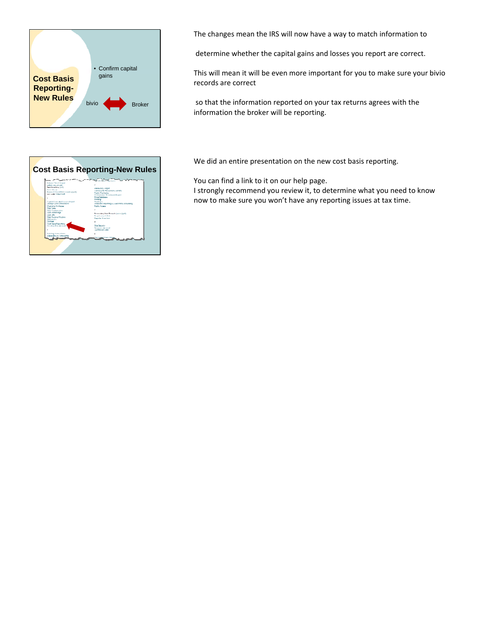



The changes mean the IRS will now have a way to match information to

determine whether the capital gains and losses you report are correct.

This will mean it will be even more important for you to make sure your bivio records are correct

so that the information reported on your tax returns agrees with the information the broker will be reporting.

We did an entire presentation on the new cost basis reporting.

You can find a link to it on our help page.

I strongly recommend you review it, to determine what you need to know now to make sure you won't have any reporting issues at tax time.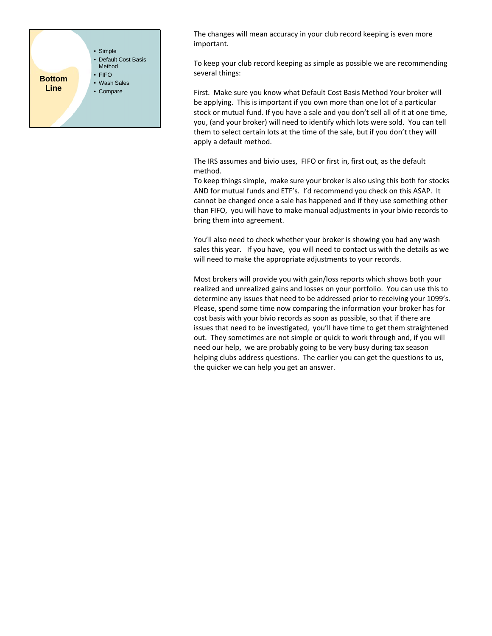

The changes will mean accuracy in your club record keeping is even more important.

To keep your club record keeping as simple as possible we are recommending several things:

First. Make sure you know what Default Cost Basis Method Your broker will be applying. This is important if you own more than one lot of a particular stock or mutual fund. If you have a sale and you don't sell all of it at one time, you, (and your broker) will need to identify which lots were sold. You can tell them to select certain lots at the time of the sale, but if you don't they will apply a default method.

The IRS assumes and bivio uses, FIFO or first in, first out, as the default method.

To keep things simple, make sure your broker is also using this both for stocks AND for mutual funds and ETF's. I'd recommend you check on this ASAP. It cannot be changed once a sale has happened and if they use something other than FIFO, you will have to make manual adjustments in your bivio records to bring them into agreement.

You'll also need to check whether your broker is showing you had any wash sales this year. If you have, you will need to contact us with the details as we will need to make the appropriate adjustments to your records.

Most brokers will provide you with gain/loss reports which shows both your realized and unrealized gains and losses on your portfolio. You can use this to determine any issues that need to be addressed prior to receiving your 1099's. Please, spend some time now comparing the information your broker has for cost basis with your bivio records as soon as possible, so that if there are issues that need to be investigated, you'll have time to get them straightened out. They sometimes are not simple or quick to work through and, if you will need our help, we are probably going to be very busy during tax season helping clubs address questions. The earlier you can get the questions to us, the quicker we can help you get an answer.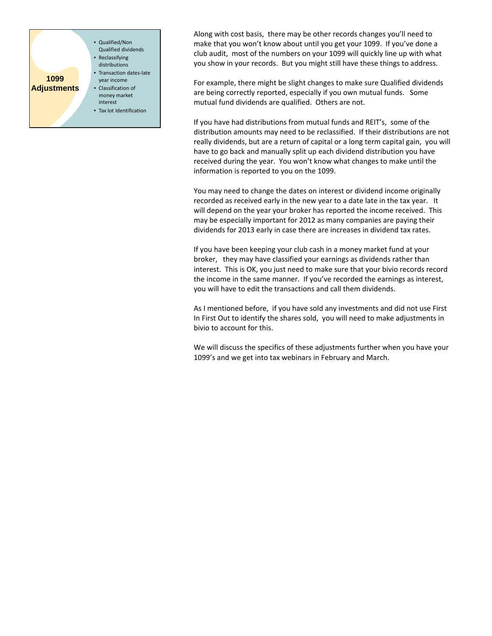

Along with cost basis, there may be other records changes you'll need to make that you won't know about until you get your 1099. If you've done a club audit, most of the numbers on your 1099 will quickly line up with what you show in your records. But you might still have these things to address.

For example, there might be slight changes to make sure Qualified dividends are being correctly reported, especially if you own mutual funds. Some mutual fund dividends are qualified. Others are not.

If you have had distributions from mutual funds and REIT's, some of the distribution amounts may need to be reclassified. If their distributions are not really dividends, but are a return of capital or a long term capital gain, you will have to go back and manually split up each dividend distribution you have received during the year. You won't know what changes to make until the information is reported to you on the 1099.

You may need to change the dates on interest or dividend income originally recorded as received early in the new year to a date late in the tax year. It will depend on the year your broker has reported the income received. This may be especially important for 2012 as many companies are paying their dividends for 2013 early in case there are increases in dividend tax rates.

If you have been keeping your club cash in a money market fund at your broker, they may have classified your earnings as dividends rather than interest. This is OK, you just need to make sure that your bivio records record the income in the same manner. If you've recorded the earnings as interest, you will have to edit the transactions and call them dividends.

As I mentioned before, if you have sold any investments and did not use First In First Out to identify the shares sold, you will need to make adjustments in bivio to account for this.

We will discuss the specifics of these adjustments further when you have your 1099's and we get into tax webinars in February and March.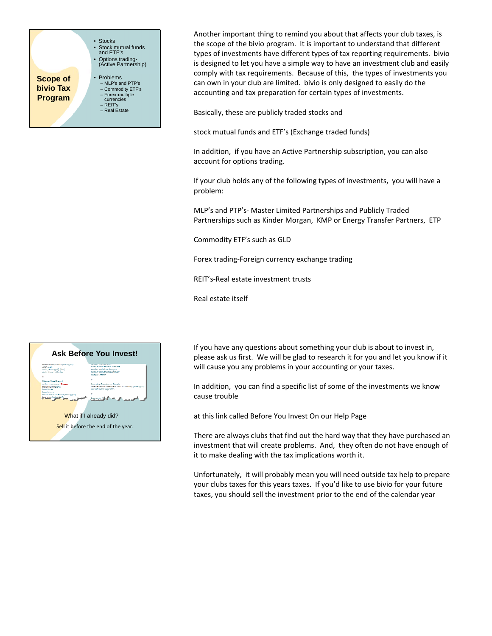

Another important thing to remind you about that affects your club taxes, is the scope of the bivio program. It is important to understand that different types of investments have different types of tax reporting requirements. bivio is designed to let you have a simple way to have an investment club and easily comply with tax requirements. Because of this, the types of investments you can own in your club are limited. bivio is only designed to easily do the accounting and tax preparation for certain types of investments.

Basically, these are publicly traded stocks and

stock mutual funds and ETF's (Exchange traded funds)

In addition, if you have an Active Partnership subscription, you can also account for options trading.

If your club holds any of the following types of investments, you will have a problem:

MLP's and PTP's‐ Master Limited Partnerships and Publicly Traded Partnerships such as Kinder Morgan, KMP or Energy Transfer Partners, ETP

Commodity ETF's such as GLD

Forex trading‐Foreign currency exchange trading

REIT's‐Real estate investment trusts

Real estate itself



If you have any questions about something your club is about to invest in, please ask us first. We will be glad to research it for you and let you know if it will cause you any problems in your accounting or your taxes.

In addition, you can find a specific list of some of the investments we know cause trouble

at this link called Before You Invest On our Help Page

There are always clubs that find out the hard way that they have purchased an investment that will create problems. And, they often do not have enough of it to make dealing with the tax implications worth it.

Unfortunately, it will probably mean you will need outside tax help to prepare your clubs taxes for this years taxes. If you'd like to use bivio for your future taxes, you should sell the investment prior to the end of the calendar year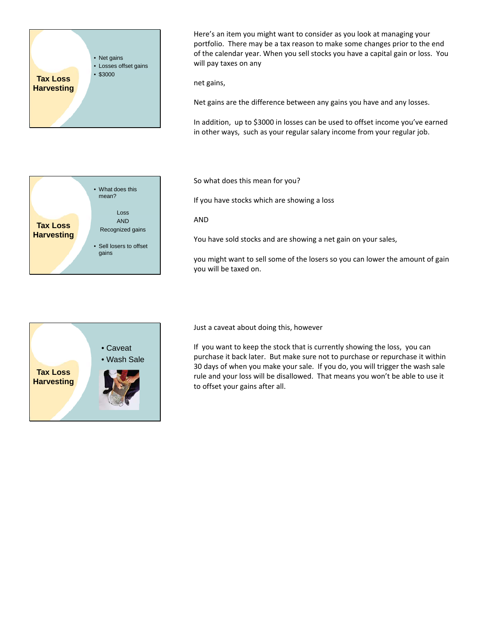

• What does this mean?

gains

Loss AND Recognized gains • Sell losers to offset

**Tax Loss Harvesting** Here's an item you might want to consider as you look at managing your portfolio. There may be a tax reason to make some changes prior to the end of the calendar year. When you sell stocks you have a capital gain or loss. You will pay taxes on any

net gains,

Net gains are the difference between any gains you have and any losses.

In addition, up to \$3000 in losses can be used to offset income you've earned in other ways, such as your regular salary income from your regular job.

So what does this mean for you?

If you have stocks which are showing a loss

## AND

You have sold stocks and are showing a net gain on your sales,

you might want to sell some of the losers so you can lower the amount of gain you will be taxed on.



Just a caveat about doing this, however

If you want to keep the stock that is currently showing the loss, you can purchase it back later. But make sure not to purchase or repurchase it within 30 days of when you make your sale. If you do, you will trigger the wash sale rule and your loss will be disallowed. That means you won't be able to use it to offset your gains after all.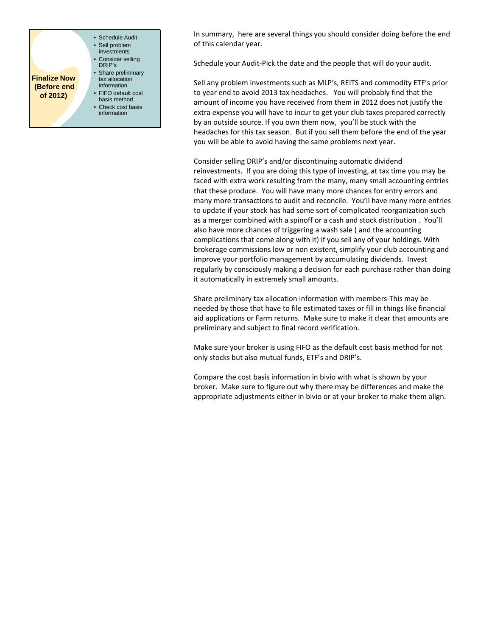

In summary, here are several things you should consider doing before the end of this calendar year.

Schedule your Audit‐Pick the date and the people that will do your audit.

Sell any problem investments such as MLP's, REITS and commodity ETF's prior to year end to avoid 2013 tax headaches. You will probably find that the amount of income you have received from them in 2012 does not justify the extra expense you will have to incur to get your club taxes prepared correctly by an outside source. If you own them now, you'll be stuck with the headaches for this tax season. But if you sell them before the end of the year you will be able to avoid having the same problems next year.

Consider selling DRIP's and/or discontinuing automatic dividend reinvestments. If you are doing this type of investing, at tax time you may be faced with extra work resulting from the many, many small accounting entries that these produce. You will have many more chances for entry errors and many more transactions to audit and reconcile. You'll have many more entries to update if your stock has had some sort of complicated reorganization such as a merger combined with a spinoff or a cash and stock distribution . You'll also have more chances of triggering a wash sale ( and the accounting complications that come along with it) if you sell any of your holdings. With brokerage commissions low or non existent, simplify your club accounting and improve your portfolio management by accumulating dividends. Invest regularly by consciously making a decision for each purchase rather than doing it automatically in extremely small amounts.

Share preliminary tax allocation information with members‐This may be needed by those that have to file estimated taxes or fill in things like financial aid applications or Farm returns. Make sure to make it clear that amounts are preliminary and subject to final record verification.

Make sure your broker is using FIFO as the default cost basis method for not only stocks but also mutual funds, ETF's and DRIP's.

Compare the cost basis information in bivio with what is shown by your broker. Make sure to figure out why there may be differences and make the appropriate adjustments either in bivio or at your broker to make them align.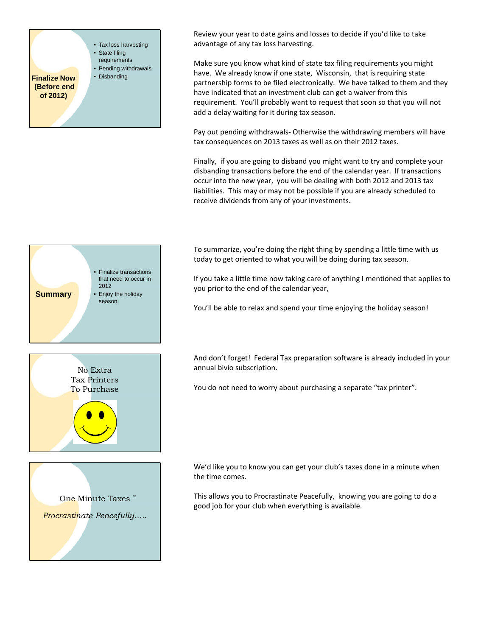

Review your year to date gains and losses to decide if you'd like to take advantage of any tax loss harvesting.

Make sure you know what kind of state tax filing requirements you might have. We already know if one state, Wisconsin, that is requiring state partnership forms to be filed electronically. We have talked to them and they have indicated that an investment club can get a waiver from this requirement. You'll probably want to request that soon so that you will not add a delay waiting for it during tax season.

Pay out pending withdrawals‐ Otherwise the withdrawing members will have tax consequences on 2013 taxes as well as on their 2012 taxes.

Finally, if you are going to disband you might want to try and complete your disbanding transactions before the end of the calendar year. If transactions occur into the new year, you will be dealing with both 2012 and 2013 tax liabilities. This may or may not be possible if you are already scheduled to receive dividends from any of your investments.

To summarize, you're doing the right thing by spending a little time with us today to get oriented to what you will be doing during tax season.

If you take a little time now taking care of anything I mentioned that applies to you prior to the end of the calendar year,

You'll be able to relax and spend your time enjoying the holiday season!

And don't forget! Federal Tax preparation software is already included in your annual bivio subscription.

You do not need to worry about purchasing a separate "tax printer".

We'd like you to know you can get your club's taxes done in a minute when the time comes.

This allows you to Procrastinate Peacefully, knowing you are going to do a good job for your club when everything is available.





One Minute Taxes *Procrastinate Peacefully…..*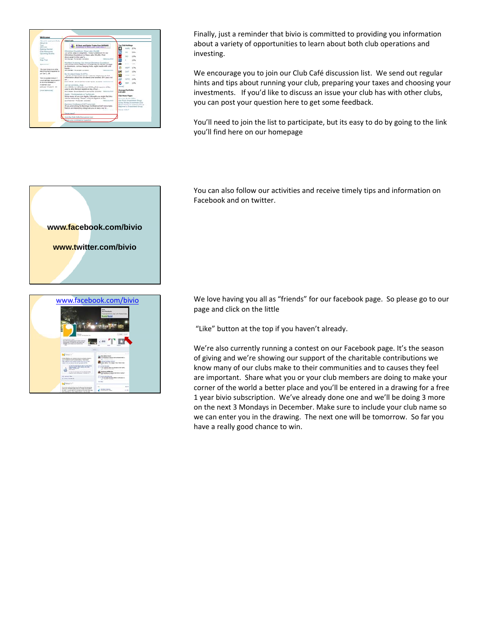

Finally, just a reminder that bivio is committed to providing you information about a variety of opportunities to learn about both club operations and investing.

We encourage you to join our Club Café discussion list. We send out regular hints and tips about running your club, preparing your taxes and choosing your investments. If you'd like to discuss an issue your club has with other clubs, you can post your question here to get some feedback.

You'll need to join the list to participate, but its easy to do by going to the link you'll find here on our homepage

You can also follow our activities and receive timely tips and information on Facebook and on twitter.

www.facebook.com/bivio We love having you all as "friends" for our facebook page. So please go to our page and click on the little

"Like" button at the top if you haven't already.

We're also currently running a contest on our Facebook page. It's the season of giving and we're showing our support of the charitable contributions we know many of our clubs make to their communities and to causes they feel are important. Share what you or your club members are doing to make your corner of the world a better place and you'll be entered in a drawing for a free 1 year bivio subscription. We've already done one and we'll be doing 3 more on the next 3 Mondays in December. Make sure to include your club name so we can enter you in the drawing. The next one will be tomorrow. So far you have a really good chance to win.



 $\alpha$